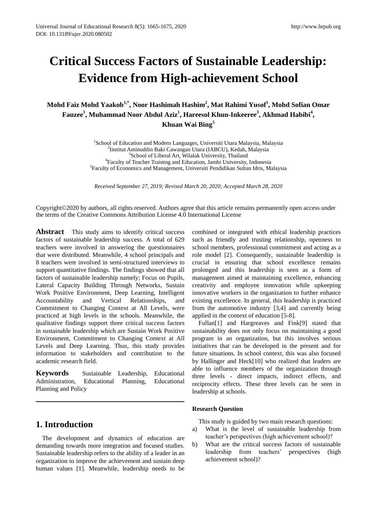# **Critical Success Factors of Sustainable Leadership: Evidence from High-achievement School**

**Mohd Faiz Mohd Yaakob1,\* , Noor Hashimah Hashim<sup>2</sup> , Mat Rahimi Yusof<sup>1</sup> , Mohd Sofian Omar Fauzee<sup>1</sup> , Muhammad Noor Abdul Aziz<sup>1</sup> , Hareesol Khun-Inkeeree<sup>3</sup> , Akhmad Habibi<sup>4</sup> , Khuan Wai Bing<sup>5</sup>**

> <sup>1</sup>School of Education and Modern Languages, Universiti Utara Malaysia, Malaysia 2 Institut Aminuddin Baki Cawangan Utara (IABCU), Kedah, Malaysia <sup>3</sup>School of Liberal Art, Wilalak University, Thailand 4 Faculty of Teacher Training and Education, Jambi University, Indonesia 5 Faculty of Economics and Management, Universiti Pendidikan Sultan Idris, Malaysia

*Received September 27, 2019; Revised March 20, 2020; Accepted March 28, 2020*

Copyright©2020 by authors, all rights reserved. Authors agree that this article remains permanently open access under the terms of the Creative Commons Attribution License 4.0 International License

**Abstract** This study aims to identify critical success factors of sustainable leadership success. A total of 629 teachers were involved in answering the questionnaires that were distributed. Meanwhile, 4 school principals and 8 teachers were involved in semi-structured interviews to support quantitative findings. The findings showed that all factors of sustainable leadership namely; Focus on Pupils, Lateral Capacity Building Through Networks, Sustain Work Positive Environment, Deep Learning, Intelligent Accountability and Vertical Relationships, and Commitment to Changing Context at All Levels, were practiced at high levels in the schools. Meanwhile, the qualitative findings support three critical success factors in sustainable leadership which are Sustain Work Positive Environment, Commitment to Changing Context at All Levels and Deep Learning. Thus, this study provides information to stakeholders and contribution to the academic research field.

**Keywords** Sustainable Leadership, Educational Administration, Educational Planning, Educational Planning and Policy

# **1. Introduction**

The development and dynamics of education are demanding towards more integration and focused studies. Sustainable leadership refers to the ability of a leader in an organization to improve the achievement and sustain deep human values [1]. Meanwhile, leadership needs to be

combined or integrated with ethical leadership practices such as friendly and trusting relationship, openness to school members, professional commitment and acting as a role model [2]. Consequently, sustainable leadership is crucial in ensuring that school excellence remains prolonged and this leadership is seen as a form of management aimed at maintaining excellence, enhancing creativity and employee innovation while upkeeping innovative workers in the organization to further enhance existing excellence. In general, this leadership is practiced from the automotive industry [3,4] and currently being applied in the context of education [5-8].

Fullan[1] and Hargreaves and Fink[9] stated that sustainability does not only focus on maintaining a good program in an organization, but this involves serious initiatives that can be developed in the present and for future situations. In school context, this was also focused by Hallinger and Heck[10] who realized that leaders are able to influence members of the organization through three levels - direct impacts, indirect effects, and reciprocity effects. These three levels can be seen in leadership at schools.

## **Research Question**

This study is guided by two main research questions:

- a) What is the level of sustainable leadership from teacher's perspectives (high achievement school)?
- b) What are the critical success factors of sustainable leadership from teachers' perspectives (high achievement school)?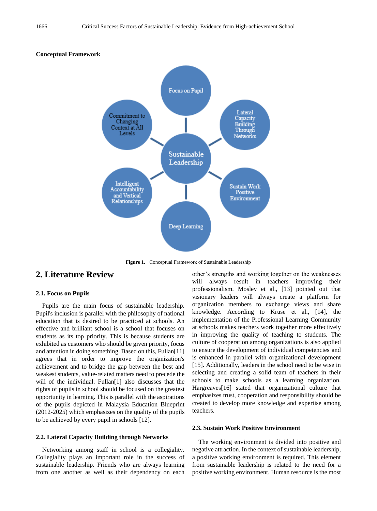#### **Conceptual Framework**



**Figure 1.** Conceptual Framework of Sustainable Leadership

# **2. Literature Review**

#### **2.1. Focus on Pupils**

Pupils are the main focus of sustainable leadership. Pupil's inclusion is parallel with the philosophy of national education that is desired to be practiced at schools. An effective and brilliant school is a school that focuses on students as its top priority. This is because students are exhibited as customers who should be given priority, focus and attention in doing something. Based on this, Fullan[11] agrees that in order to improve the organization's achievement and to bridge the gap between the best and weakest students, value-related matters need to precede the will of the individual. Fullan<sup>[1]</sup> also discusses that the rights of pupils in school should be focused on the greatest opportunity in learning. This is parallel with the aspirations of the pupils depicted in Malaysia Education Blueprint (2012-2025) which emphasizes on the quality of the pupils to be achieved by every pupil in schools [12].

#### **2.2. Lateral Capacity Building through Networks**

Networking among staff in school is a collegiality. Collegiality plays an important role in the success of sustainable leadership. Friends who are always learning from one another as well as their dependency on each other's strengths and working together on the weaknesses will always result in teachers improving their professionalism. Mosley et al., [13] pointed out that visionary leaders will always create a platform for organization members to exchange views and share knowledge. According to Kruse et al., [14], the implementation of the Professional Learning Community at schools makes teachers work together more effectively in improving the quality of teaching to students. The culture of cooperation among organizations is also applied to ensure the development of individual competencies and is enhanced in parallel with organizational development [15]. Additionally, leaders in the school need to be wise in selecting and creating a solid team of teachers in their schools to make schools as a learning organization. Hargreaves[16] stated that organizational culture that emphasizes trust, cooperation and responsibility should be created to develop more knowledge and expertise among teachers.

#### **2.3. Sustain Work Positive Environment**

The working environment is divided into positive and negative attraction. In the context of sustainable leadership, a positive working environment is required. This element from sustainable leadership is related to the need for a positive working environment. Human resource is the most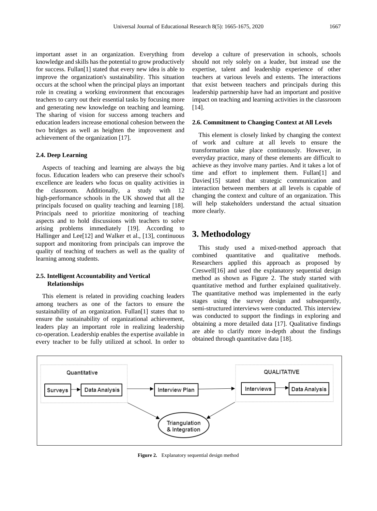important asset in an organization. Everything from knowledge and skills has the potential to grow productively for success. Fullan[1] stated that every new idea is able to improve the organization's sustainability. This situation occurs at the school when the principal plays an important role in creating a working environment that encourages teachers to carry out their essential tasks by focusing more and generating new knowledge on teaching and learning. The sharing of vision for success among teachers and education leaders increase emotional cohesion between the two bridges as well as heighten the improvement and achievement of the organization [17].

### **2.4. Deep Learning**

Aspects of teaching and learning are always the big focus. Education leaders who can preserve their school's excellence are leaders who focus on quality activities in the classroom. Additionally, a study with 12 high-performance schools in the UK showed that all the principals focused on quality teaching and learning [18]. Principals need to prioritize monitoring of teaching aspects and to hold discussions with teachers to solve arising problems immediately [19]. According to Hallinger and Lee[12] and Walker et al., [13], continuous support and monitoring from principals can improve the quality of teaching of teachers as well as the quality of learning among students.

## **2.5. Intelligent Accountability and Vertical Relationships**

This element is related in providing coaching leaders among teachers as one of the factors to ensure the sustainability of an organization. Fullan[1] states that to ensure the sustainability of organizational achievement, leaders play an important role in realizing leadership co-operation. Leadership enables the expertise available in every teacher to be fully utilized at school. In order to

develop a culture of preservation in schools, schools should not rely solely on a leader, but instead use the expertise, talent and leadership experience of other teachers at various levels and extents. The interactions that exist between teachers and principals during this leadership partnership have had an important and positive impact on teaching and learning activities in the classroom [14].

#### **2.6. Commitment to Changing Context at All Levels**

This element is closely linked by changing the context of work and culture at all levels to ensure the transformation take place continuously. However, in everyday practice, many of these elements are difficult to achieve as they involve many parties. And it takes a lot of time and effort to implement them. Fullan[1] and Davies[15] stated that strategic communication and interaction between members at all levels is capable of changing the context and culture of an organization. This will help stakeholders understand the actual situation more clearly.

## **3. Methodology**

This study used a mixed-method approach that combined quantitative and qualitative methods. Researchers applied this approach as proposed by Creswell[16] and used the explanatory sequential design method as shown as Figure 2. The study started with quantitative method and further explained qualitatively. The quantitative method was implemented in the early stages using the survey design and subsequently, semi-structured interviews were conducted. This interview was conducted to support the findings in exploring and obtaining a more detailed data [17]. Qualitative findings are able to clarify more in-depth about the findings obtained through quantitative data [18].



**Figure 2.** Explanatory sequential design method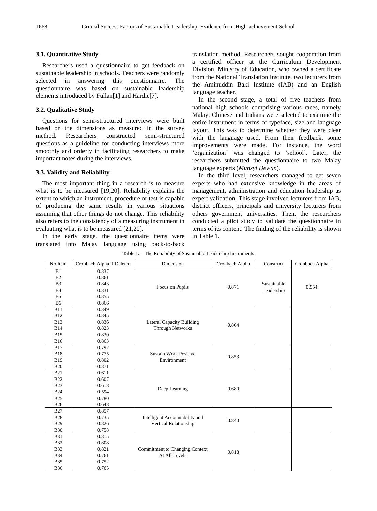#### **3.1. Quantitative Study**

Researchers used a questionnaire to get feedback on sustainable leadership in schools. Teachers were randomly selected in answering this questionnaire. The questionnaire was based on sustainable leadership elements introduced by Fullan[1] and Hardie[7].

#### **3.2. Qualitative Study**

Questions for semi-structured interviews were built based on the dimensions as measured in the survey method. Researchers constructed semi-structured questions as a guideline for conducting interviews more smoothly and orderly in facilitating researchers to make important notes during the interviews.

#### **3.3. Validity and Reliability**

The most important thing in a research is to measure what is to be measured [19,20]. Reliability explains the extent to which an instrument, procedure or test is capable of producing the same results in various situations assuming that other things do not change. This reliability also refers to the consistency of a measuring instrument in evaluating what is to be measured [21,20].

In the early stage, the questionnaire items were translated into Malay language using back-to-back translation method. Researchers sought cooperation from a certified officer at the Curriculum Development Division, Ministry of Education, who owned a certificate from the National Translation Institute, two lecturers from the Aminuddin Baki Institute (IAB) and an English language teacher.

In the second stage, a total of five teachers from national high schools comprising various races, namely Malay, Chinese and Indians were selected to examine the entire instrument in terms of typeface, size and language layout. This was to determine whether they were clear with the language used. From their feedback, some improvements were made. For instance, the word 'organization' was changed to 'school'. Later, the researchers submitted the questionnaire to two Malay language experts (*Munsyi Dewan*).

In the third level, researchers managed to get seven experts who had extensive knowledge in the areas of management, administration and education leadership as expert validation. This stage involved lecturers from IAB, district officers, principals and university lecturers from others government universities. Then, the researchers conducted a pilot study to validate the questionnaire in terms of its content. The finding of the reliability is shown in Table 1.

| No Item        | Cronbach Alpha if Deleted | Dimension                             | Cronbach Alpha | Construct                 | Cronbach Alpha |
|----------------|---------------------------|---------------------------------------|----------------|---------------------------|----------------|
| B1             | 0.837                     |                                       |                |                           |                |
| B <sub>2</sub> | 0.861                     |                                       | 0.871          |                           |                |
| B <sub>3</sub> | 0.843                     |                                       |                | Sustainable<br>Leadership | 0.954          |
| <b>B4</b>      | 0.831                     | Focus on Pupils                       |                |                           |                |
| B <sub>5</sub> | 0.855                     |                                       |                |                           |                |
| B <sub>6</sub> | 0.866                     |                                       |                |                           |                |
| <b>B11</b>     | 0.849                     |                                       |                |                           |                |
| <b>B12</b>     | 0.845                     |                                       |                |                           |                |
| <b>B13</b>     | 0.836                     | <b>Lateral Capacity Building</b>      | 0.864          |                           |                |
| <b>B14</b>     | 0.823                     | <b>Through Networks</b>               |                |                           |                |
| <b>B15</b>     | 0.830                     |                                       |                |                           |                |
| <b>B16</b>     | 0.863                     |                                       |                |                           |                |
| <b>B17</b>     | 0.792                     |                                       |                |                           |                |
| <b>B18</b>     | 0.775                     | <b>Sustain Work Positive</b>          | 0.853          |                           |                |
| <b>B19</b>     | 0.802                     | Environment                           |                |                           |                |
| <b>B20</b>     | 0.871                     |                                       |                |                           |                |
| <b>B21</b>     | 0.611                     |                                       |                |                           |                |
| <b>B22</b>     | 0.607                     |                                       |                |                           |                |
| <b>B23</b>     | 0.618                     |                                       | 0.680          |                           |                |
| <b>B24</b>     | 0.594                     | Deep Learning                         |                |                           |                |
| <b>B25</b>     | 0.780                     |                                       |                |                           |                |
| <b>B26</b>     | 0.648                     |                                       |                |                           |                |
| <b>B27</b>     | 0.857                     |                                       |                |                           |                |
| <b>B28</b>     | 0.735                     | Intelligent Accountability and        | 0.840          |                           |                |
| <b>B29</b>     | 0.826                     | Vertical Relationship                 |                |                           |                |
| <b>B30</b>     | 0.758                     |                                       |                |                           |                |
| <b>B31</b>     | 0.815                     |                                       |                |                           |                |
| <b>B32</b>     | 0.808                     |                                       |                |                           |                |
| <b>B33</b>     | 0.821                     | <b>Commitment to Changing Context</b> | 0.818          |                           |                |
| <b>B34</b>     | 0.761                     | At All Levels                         |                |                           |                |
| <b>B35</b>     | 0.752                     |                                       |                |                           |                |
| <b>B36</b>     | 0.765                     |                                       |                |                           |                |

**Table 1.** The Reliability of Sustainable Leadership Instruments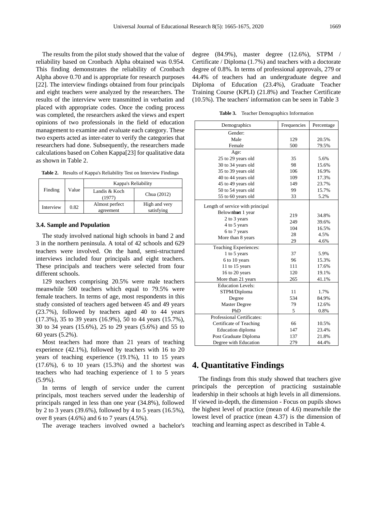The results from the pilot study showed that the value of reliability based on Cronbach Alpha obtained was 0.954. This finding demonstrates the reliability of Cronbach Alpha above 0.70 and is appropriate for research purposes [22]. The interview findings obtained from four principals and eight teachers were analyzed by the researchers. The results of the interview were transmitted in verbatim and placed with appropriate codes. Once the coding process was completed, the researchers asked the views and expert opinions of two professionals in the field of education management to examine and evaluate each category. These two experts acted as inter-rater to verify the categories that researchers had done. Subsequently, the researchers made calculations based on Cohen Kappa[23] for qualitative data as shown in Table 2.

|  | Table 2. Results of Kappa's Reliability Test on Interview Findings |  |  |  |  |  |
|--|--------------------------------------------------------------------|--|--|--|--|--|
|--|--------------------------------------------------------------------|--|--|--|--|--|

|           |       | Kappa's Reliability     |               |  |
|-----------|-------|-------------------------|---------------|--|
| Finding   | Value | Landis & Koch<br>(1977) | Chua (2012)   |  |
| Interview | 0.82  | Almost perfect          | High and very |  |
|           |       | agreement               | satisfying    |  |

#### **3.4. Sample and Population**

The study involved national high schools in band 2 and 3 in the northern peninsula. A total of 42 schools and 629 teachers were involved. On the hand, semi-structured interviews included four principals and eight teachers. These principals and teachers were selected from four different schools.

129 teachers comprising 20.5% were male teachers meanwhile 500 teachers which equal to 79.5% were female teachers. In terms of age, most respondents in this study consisted of teachers aged between 45 and 49 years (23.7%), followed by teachers aged 40 to 44 years (17.3%), 35 to 39 years (16.9%), 50 to 44 years (15.7%), 30 to 34 years (15.6%), 25 to 29 years (5.6%) and 55 to 60 years (5.2%).

Most teachers had more than 21 years of teaching experience (42.1%), followed by teachers with 16 to 20 years of teaching experience (19.1%), 11 to 15 years (17.6%), 6 to 10 years (15.3%) and the shortest was teachers who had teaching experience of 1 to 5 years (5.9%).

In terms of length of service under the current principals, most teachers served under the leadership of principals ranged in less than one year (34.8%), followed by 2 to 3 years (39.6%), followed by 4 to 5 years (16.5%), over 8 years (4.6%) and 6 to 7 years (4.5%).

The average teachers involved owned a bachelor's

degree (84.9%), master degree (12.6%), STPM / Certificate / Diploma (1.7%) and teachers with a doctorate degree of 0.8%. In terms of professional approvals, 279 or 44.4% of teachers had an undergraduate degree and Diploma of Education (23.4%), Graduate Teacher Training Course (KPLI) (21.8%) and Teacher Certificate (10.5%). The teachers' information can be seen in Table 3

**Table 3.** Teacher Demographics Information

| Demographics                     | Frequencies | Percentage |  |
|----------------------------------|-------------|------------|--|
| Gender:                          |             |            |  |
| Male                             | 129         | 20.5%      |  |
| Female                           | 500         | 79.5%      |  |
| Age:                             |             |            |  |
| 25 to 29 years old               | 35          | 5.6%       |  |
| 30 to 34 years old               | 98          | 15.6%      |  |
| 35 to 39 years old               | 106         | 16.9%      |  |
| 40 to 44 years old               | 109         | 17.3%      |  |
| 45 to 49 years old               | 149         | 23.7%      |  |
| 50 to 54 years old               | 99          | 15.7%      |  |
| 55 to 60 years old               | 33          | 5.2%       |  |
| Length of service with principal |             |            |  |
| Belowntham 1 year                | 219         | 34.8%      |  |
| 2 to 3 years                     | 249         | 39.6%      |  |
| 4 to 5 years                     | 104         | 16.5%      |  |
| 6 to 7 years                     | 28          | 4.5%       |  |
| More than 8 years                | 29          | 4.6%       |  |
| Teaching Experiences:            |             |            |  |
| 1 to 5 years                     | 37          | 5.9%       |  |
| 6 to 10 years                    | 96          | 15.3%      |  |
| 11 to 15 years                   | 111         | 17.6%      |  |
| 16 to 20 years                   | 120         | 19.1%      |  |
| More than 21 years               | 265         | 41.1%      |  |
| <b>Education Levels:</b>         |             |            |  |
| STPM/Diploma                     | 11          | 1.7%       |  |
| Degree                           | 534         | 84.9%      |  |
| Master Degree                    | 79          | 12.6%      |  |
| PhD                              | 5           | 0.8%       |  |
| Professional Certificates:       |             |            |  |
| Certificate of Teaching          | 66          | 10.5%      |  |
| Education diploma                | 147         | 23.4%      |  |
| Post Graduate Diploma            | 137         | 21.8%      |  |
| Degree with Education            | 279         | 44.4%      |  |

# **4. Quantitative Findings**

The findings from this study showed that teachers give principals the perception of practicing sustainable leadership in their schools at high levels in all dimensions. If viewed in-depth, the dimension - Focus on pupils shows the highest level of practice (mean of 4.6) meanwhile the lowest level of practice (mean 4.37) is the dimension of teaching and learning aspect as described in Table 4.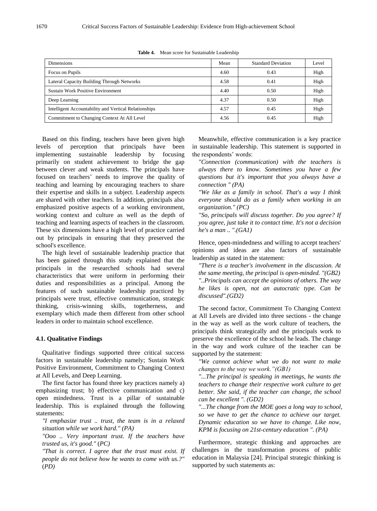| <b>Dimensions</b>                                     | Mean | <b>Standard Deviation</b> | Level |
|-------------------------------------------------------|------|---------------------------|-------|
| Focus on Pupils                                       | 4.60 | 0.43                      | High  |
| Lateral Capacity Building Through Networks            | 4.58 | 0.41                      | High  |
| <b>Sustain Work Positive Environment</b>              | 4.40 | 0.50                      | High  |
| Deep Learning                                         | 4.37 | 0.50                      | High  |
| Intelligent Accountability and Vertical Relationships | 4.57 | 0.45                      | High  |
| Commitment to Changing Context At All Level           | 4.56 | 0.45                      | High  |

**Table 4.** Mean score for Sustainable Leadership

Based on this finding, teachers have been given high levels of perception that principals have been implementing sustainable leadership by focusing primarily on student achievement to bridge the gap between clever and weak students. The principals have focused on teachers' needs to improve the quality of teaching and learning by encouraging teachers to share their expertise and skills in a subject. Leadership aspects are shared with other teachers. In addition, principals also emphasized positive aspects of a working environment, working context and culture as well as the depth of teaching and learning aspects of teachers in the classroom. These six dimensions have a high level of practice carried out by principals in ensuring that they preserved the school's excellence.

The high level of sustainable leadership practice that has been gained through this study explained that the principals in the researched schools had several characteristics that were uniform in performing their duties and responsibilities as a principal. Among the features of such sustainable leadership practiced by principals were trust, effective communication, strategic thinking, crisis-winning skills, togetherness, and exemplary which made them different from other school leaders in order to maintain school excellence.

#### **4.1. Qualitative Findings**

Qualitative findings supported three critical success factors in sustainable leadership namely; Sustain Work Positive Environment, Commitment to Changing Context at All Levels, and Deep Learning.

The first factor has found three key practices namely a) emphasizing trust; b) effective communication and c) open mindedness. Trust is a pillar of sustainable leadership. This is explained through the following statements:

*"I emphasize trust .. trust, the team is in a relaxed situation while we work hard." (PA)*

*"Ooo .. Very important trust. If the teachers have trusted us, it's good."* (*PC)*

*"That is correct. I agree that the trust must exist. If people do not believe how he wants to come with us.?"*  (*PD)*

Meanwhile, effective communication is a key practice in sustainable leadership. This statement is supported in the respondents' words:

*"Connection (communication) with the teachers is always there to know. Sometimes you have a few questions but it's important that you always have a connection " (PA)*

*"We like as a family in school. That's a way I think everyone should do as a family when working in an organization." (PC)*

*"So, principals will discuss together. Do you agree? If you agree, just take it to contact time. It's not a decision he's a man .. ".(GA1)*

Hence, open-mindedness and willing to accept teachers' opinions and ideas are also factors of sustainable leadership as stated in the statement:

*"There is a teacher's involvement in the discussion. At the same meeting, the principal is open-minded. "(GB2) "..Principals can accept the opinions of others. The way he likes is open, not an autocratic type. Can be discussed".(GD2)*

The second factor, Commitment To Changing Context at All Levels are divided into three sections - the change in the way as well as the work culture of teachers, the principals think strategically and the principals work to preserve the excellence of the school he leads. The change in the way and work culture of the teacher can be supported by the statement:

*"We cannot achieve what we do not want to make changes to the way we work."(GB1)*

*"...The principal is speaking in meetings, he wants the teachers to change their respective work culture to get better. She said, if the teacher can change, the school can be excellent ". (GD2)*

*"...The change from the MOE goes a long way to school, so we have to get the chance to achieve our target. Dynamic education so we have to change. Like now, KPM is focusing on 21st-century education ". (PA)*

Furthermore, strategic thinking and approaches are challenges in the transformation process of public education in Malaysia [24]. Principal strategic thinking is supported by such statements as: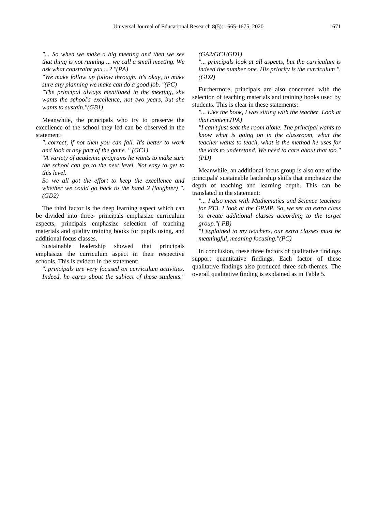*"... So when we make a big meeting and then we see that thing is not running ... we call a small meeting. We ask what constraint you ...? "(PA)*

*"We make follow up follow through. It's okay, to make sure any planning we make can do a good job. "(PC)*

*"The principal always mentioned in the meeting, she wants the school's excellence, not two years, but she wants to sustain."(GB1)*

Meanwhile, the principals who try to preserve the excellence of the school they led can be observed in the statement:

*"..correct, if not then you can fall. It's better to work and look at any part of the game. " (GC1)*

*"A variety of academic programs he wants to make sure the school can go to the next level. Not easy to get to this level.* 

*So we all got the effort to keep the excellence and whether we could go back to the band 2 (laughter) ". (GD2)*

The third factor is the deep learning aspect which can be divided into three- principals emphasize curriculum aspects, principals emphasize selection of teaching materials and quality training books for pupils using, and additional focus classes.

Sustainable leadership showed that principals emphasize the curriculum aspect in their respective schools. This is evident in the statement:

*"..principals are very focused on curriculum activities. Indeed, he cares about the subject of these students."*  *(GA2/GC1/GD1)*

*"... principals look at all aspects, but the curriculum is indeed the number one. His priority is the curriculum ". (GD2)*

Furthermore, principals are also concerned with the selection of teaching materials and training books used by students. This is clear in these statements:

*"... Like the book, I was sitting with the teacher. Look at that content.(PA)*

*"I can't just seat the room alone. The principal wants to know what is going on in the classroom, what the teacher wants to teach, what is the method he uses for the kids to understand. We need to care about that too." (PD)*

Meanwhile, an additional focus group is also one of the principals' sustainable leadership skills that emphasize the depth of teaching and learning depth. This can be translated in the statement:

*"... I also meet with Mathematics and Science teachers for PT3. I look at the GPMP. So, we set an extra class to create additional classes according to the target group."( PB)*

*"I explained to my teachers, our extra classes must be meaningful, meaning focusing."(PC)*

In conclusion, these three factors of qualitative findings support quantitative findings. Each factor of these qualitative findings also produced three sub-themes. The overall qualitative finding is explained as in Table 5.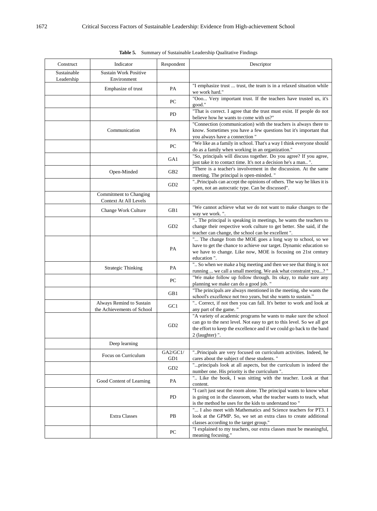| Construct                 | Indicator                                              | Respondent      | Descriptor                                                                                                                                                                                                                             |
|---------------------------|--------------------------------------------------------|-----------------|----------------------------------------------------------------------------------------------------------------------------------------------------------------------------------------------------------------------------------------|
| Sustainable<br>Leadership | <b>Sustain Work Positive</b><br>Environment            |                 |                                                                                                                                                                                                                                        |
|                           | Emphasize of trust                                     | PA              | "I emphasize trust  trust, the team is in a relaxed situation while<br>we work hard."                                                                                                                                                  |
|                           |                                                        | PC              | "Ooo Very important trust. If the teachers have trusted us, it's<br>good."                                                                                                                                                             |
|                           |                                                        | PD              | "That is correct. I agree that the trust must exist. If people do not<br>believe how he wants to come with us?"                                                                                                                        |
|                           | Communication                                          | PA              | "Connection (communication) with the teachers is always there to<br>know. Sometimes you have a few questions but it's important that<br>you always have a connection "                                                                 |
|                           |                                                        | PC              | "We like as a family in school. That's a way I think everyone should<br>do as a family when working in an organization."                                                                                                               |
|                           |                                                        | GA1             | "So, principals will discuss together. Do you agree? If you agree,<br>just take it to contact time. It's not a decision he's a man ".                                                                                                  |
|                           | Open-Minded                                            | GB <sub>2</sub> | "There is a teacher's involvement in the discussion. At the same<br>meeting. The principal is open-minded."                                                                                                                            |
|                           |                                                        | GD <sub>2</sub> | "Principals can accept the opinions of others. The way he likes it is<br>open, not an autocratic type. Can be discussed".                                                                                                              |
|                           | Commitment to Changing<br>Context At All Levels        |                 |                                                                                                                                                                                                                                        |
|                           | Change Work Culture                                    | GB1             | "We cannot achieve what we do not want to make changes to the<br>way we work.".                                                                                                                                                        |
|                           |                                                        | GD <sub>2</sub> | " The principal is speaking in meetings, he wants the teachers to<br>change their respective work culture to get better. She said, if the<br>teacher can change, the school can be excellent".                                         |
|                           |                                                        | PA              | " The change from the MOE goes a long way to school, so we<br>have to get the chance to achieve our target. Dynamic education so<br>we have to change. Like now, MOE is focusing on 21st century<br>education".                        |
|                           | <b>Strategic Thinking</b>                              | PA              | " So when we make a big meeting and then we see that thing is not<br>running  we call a small meeting. We ask what constraint you? "                                                                                                   |
|                           |                                                        | PC              | "We make follow up follow through. Its okay, to make sure any<br>planning we make can do a good job."                                                                                                                                  |
|                           |                                                        | GB1             | "The principals are always mentioned in the meeting, she wants the<br>school's excellence not two years, but she wants to sustain."                                                                                                    |
|                           | Always Remind to Sustain<br>the Achievements of School | GC1             | " Correct, if not then you can fall. It's better to work and look at<br>any part of the game."                                                                                                                                         |
|                           |                                                        | GD <sub>2</sub> | "A variety of academic programs he wants to make sure the school<br>can go to the next level. Not easy to get to this level. So we all got<br>the effort to keep the excellence and if we could go back to the band<br>2 (laughter) ". |
|                           | Deep learning                                          |                 |                                                                                                                                                                                                                                        |
|                           | Focus on Curriculum                                    | GA2/GC1/<br>GD1 | "Principals are very focused on curriculum activities. Indeed, he<br>cares about the subject of these students."                                                                                                                       |
|                           |                                                        | GD <sub>2</sub> | "principals look at all aspects, but the curriculum is indeed the<br>number one. His priority is the curriculum".                                                                                                                      |
|                           | Good Content of Learning                               | PA              | " Like the book, I was sitting with the teacher. Look at that<br>content.<br>"I can't just seat the room alone. The principal wants to know what                                                                                       |
|                           |                                                        | PD              | is going on in the classroom, what the teacher wants to teach, what<br>is the method he uses for the kids to understand too "                                                                                                          |
|                           | <b>Extra Classes</b>                                   | PB              | " I also meet with Mathematics and Science teachers for PT3. I<br>look at the GPMP. So, we set an extra class to create additional<br>classes according to the target group."                                                          |
|                           |                                                        | PC              | "I explained to my teachers, our extra classes must be meaningful,<br>meaning focusing."                                                                                                                                               |

**Table 5.** Summary of Sustainable Leadership Qualitative Findings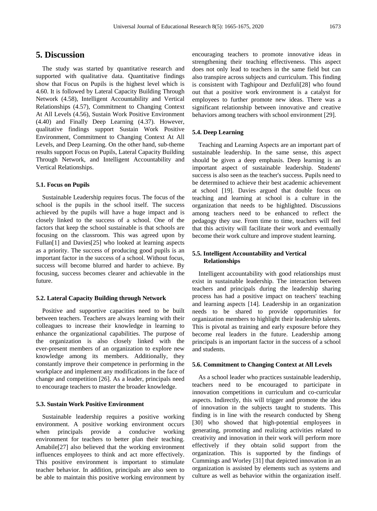## **5. Discussion**

The study was started by quantitative research and supported with qualitative data. Quantitative findings show that Focus on Pupils is the highest level which is 4.60. It is followed by Lateral Capacity Building Through Network (4.58), Intelligent Accountability and Vertical Relationships (4.57), Commitment to Changing Context At All Levels (4.56), Sustain Work Positive Environment (4.40) and Finally Deep Learning (4.37). However, qualitative findings support Sustain Work Positive Environment, Commitment to Changing Context At All Levels, and Deep Learning. On the other hand, sub-theme results support Focus on Pupils, Lateral Capacity Building Through Network, and Intelligent Accountability and Vertical Relationships.

#### **5.1. Focus on Pupils**

Sustainable Leadership requires focus. The focus of the school is the pupils in the school itself. The success achieved by the pupils will have a huge impact and is closely linked to the success of a school. One of the factors that keep the school sustainable is that schools are focusing on the classroom. This was agreed upon by Fullan[1] and Davies[25] who looked at learning aspects as a priority. The success of producing good pupils is an important factor in the success of a school. Without focus, success will become blurred and harder to achieve. By focusing, success becomes clearer and achievable in the future.

#### **5.2. Lateral Capacity Building through Network**

Positive and supportive capacities need to be built between teachers. Teachers are always learning with their colleagues to increase their knowledge in learning to enhance the organizational capabilities. The purpose of the organization is also closely linked with the ever-present members of an organization to explore new knowledge among its members. Additionally, they constantly improve their competence in performing in the workplace and implement any modifications in the face of change and competition [26]. As a leader, principals need to encourage teachers to master the broader knowledge.

#### **5.3. Sustain Work Positive Environment**

Sustainable leadership requires a positive working environment. A positive working environment occurs when principals provide a conducive working environment for teachers to better plan their teaching. Amabile[27] also believed that the working environment influences employees to think and act more effectively. This positive environment is important to stimulate teacher behavior. In addition, principals are also seen to be able to maintain this positive working environment by

encouraging teachers to promote innovative ideas in strengthening their teaching effectiveness. This aspect does not only lead to teachers in the same field but can also transpire across subjects and curriculum. This finding is consistent with Taghipour and Dezfuli[28] who found out that a positive work environment is a catalyst for employees to further promote new ideas. There was a significant relationship between innovative and creative behaviors among teachers with school environment [29].

#### **5.4. Deep Learning**

Teaching and Learning Aspects are an important part of sustainable leadership. In the same sense, this aspect should be given a deep emphasis. Deep learning is an important aspect of sustainable leadership. Students' success is also seen as the teacher's success. Pupils need to be determined to achieve their best academic achievement at school [19]. Davies argued that double focus on teaching and learning at school is a culture in the organization that needs to be highlighted. Discussions among teachers need to be enhanced to reflect the pedagogy they use. From time to time, teachers will feel that this activity will facilitate their work and eventually become their work culture and improve student learning.

## **5.5. Intelligent Accountability and Vertical Relationships**

Intelligent accountability with good relationships must exist in sustainable leadership. The interaction between teachers and principals during the leadership sharing process has had a positive impact on teachers' teaching and learning aspects [14]. Leadership in an organization needs to be shared to provide opportunities for organization members to highlight their leadership talents. This is pivotal as training and early exposure before they become real leaders in the future. Leadership among principals is an important factor in the success of a school and students.

#### **5.6. Commitment to Changing Context at All Levels**

As a school leader who practices sustainable leadership, teachers need to be encouraged to participate in innovation competitions in curriculum and co-curricular aspects. Indirectly, this will trigger and promote the idea of innovation in the subjects taught to students. This finding is in line with the research conducted by Sheng [30] who showed that high-potential employees in generating, promoting and realizing activities related to creativity and innovation in their work will perform more effectively if they obtain solid support from the organization. This is supported by the findings of Cummings and Worley [31] that depicted innovation in an organization is assisted by elements such as systems and culture as well as behavior within the organization itself.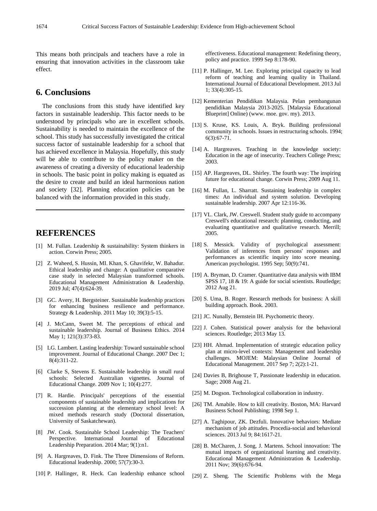This means both principals and teachers have a role in ensuring that innovation activities in the classroom take effect.

# **6. Conclusions**

The conclusions from this study have identified key factors in sustainable leadership. This factor needs to be understood by principals who are in excellent schools. Sustainability is needed to maintain the excellence of the school. This study has successfully investigated the critical success factor of sustainable leadership for a school that has achieved excellence in Malaysia. Hopefully, this study will be able to contribute to the policy maker on the awareness of creating a diversity of educational leadership in schools. The basic point in policy making is equated as the desire to create and build an ideal harmonious nation and society [32]. Planning education policies can be balanced with the information provided in this study.

## **REFERENCES**

- [1] M. Fullan. Leadership & sustainability: System thinkers in action. Corwin Press; 2005.
- [2] Z. Waheed, S. Hussin, MI. Khan, S. Ghavifekr, W. Bahadur. Ethical leadership and change: A qualitative comparative case study in selected Malaysian transformed schools. Educational Management Administration & Leadership. 2019 Jul; 47(4):624-39.
- [3] GC. Avery, H. Bergsteiner. Sustainable leadership practices for enhancing business resilience and performance. Strategy & Leadership. 2011 May 10; 39(3):5-15.
- [4] J. McCann, Sweet M. The perceptions of ethical and sustainable leadership. Journal of Business Ethics. 2014 May 1; 121(3):373-83.
- [5] LG. Lambert. Lasting leadership: Toward sustainable school improvement. Journal of Educational Change. 2007 Dec 1; 8(4):311-22.
- [6] Clarke S, Stevens E. Sustainable leadership in small rural schools: Selected Australian vignettes. Journal of Educational Change. 2009 Nov 1; 10(4):277.
- [7] R. Hardie. Principals' perceptions of the essential components of sustainable leadership and implications for succession planning at the elementary school level: A mixed methods research study (Doctoral dissertation, University of Saskatchewan).
- [8] JW. Cook. Sustainable School Leadership: The Teachers' Perspective. International Journal of Educational Leadership Preparation. 2014 Mar; 9(1):n1.
- [9] A. Hargreaves, D. Fink. The Three Dimensions of Reform. Educational leadership. 2000; 57(7):30-3.
- [10] P. Hallinger, R. Heck. Can leadership enhance school

effectiveness. Educational management: Redefining theory, policy and practice. 1999 Sep 8:178-90.

- [11] P. Hallinger, M. Lee. Exploring principal capacity to lead reform of teaching and learning quality in Thailand. International Journal of Educational Development. 2013 Jul 1; 33(4):305-15.
- [12] Kementerian Pendidikan Malaysia. Pelan pembangunan pendidikan Malaysia 2013-2025. [Malaysia Educational Blueprint] Online) (www. moe. gov. my). 2013.
- [13] S. Kruse, KS. Louis, A. Bryk. Building professional community in schools. Issues in restructuring schools. 1994; 6(3):67-71.
- [14] A. Hargreaves. Teaching in the knowledge society: Education in the age of insecurity. Teachers College Press; 2003.
- [15] AP. Hargreaves, DL. Shirley. The fourth way: The inspiring future for educational change. Corwin Press; 2009 Aug 11.
- [16] M. Fullan, L. Sharratt. Sustaining leadership in complex times: An individual and system solution. Developing sustainable leadership. 2007 Apr 12:116-36.
- [17] VL. Clark, JW. Creswell. Student study guide to accompany Creswell's educational research: planning, conducting, and evaluating quantitative and qualitative research. Merrill; 2005.
- [18] S. Messick. Validity of psychological assessment: Validation of inferences from persons' responses and performances as scientific inquiry into score meaning. American psychologist. 1995 Sep; 50(9):741.
- [19] A. Bryman, D. Cramer. Quantitative data analysis with IBM SPSS 17, 18 & 19: A guide for social scientists. Routledge; 2012 Aug 21.
- [20] S. Uma, B. Roger. Research methods for business: A skill building approach. Book. 2003.
- [21] JC. Nunally, Bernstein IH. Psychometric theory.
- [22] J. Cohen. Statistical power analysis for the behavioral sciences. Routledge; 2013 May 13.
- [23] HH. Ahmad. Implementation of strategic education policy plan at micro-level contexts: Management and leadership challenges. MOJEM: Malaysian Online Journal of Educational Management. 2017 Sep 7; 2(2):1-21.
- [24] Davies B, Brighouse T, Passionate leadership in education. Sage; 2008 Aug 21.
- [25] M. Dogson. Technological collaboration in industry.
- [26] TM. Amabile. How to kill creativity. Boston, MA: Harvard Business School Publishing; 1998 Sep 1.
- [27] A. Taghipour, ZK. Dezfuli. Innovative behaviors: Mediate mechanism of job attitudes. Procedia-social and behavioral sciences. 2013 Jul 9; 84:1617-21.
- [28] B. McCharen, J. Song, J. Martens. School innovation: The mutual impacts of organizational learning and creativity. Educational Management Administration & Leadership. 2011 Nov; 39(6):676-94.
- [29] Z. Sheng. The Scientific Problems with the Mega